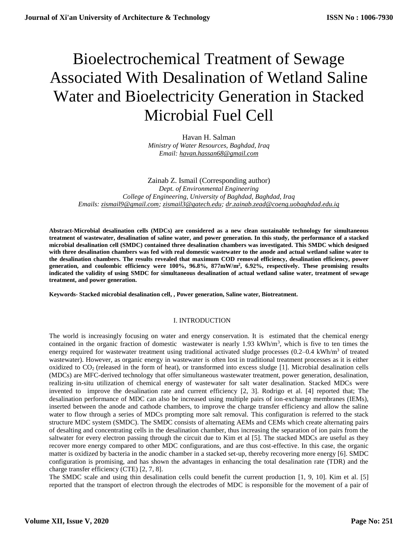# Bioelectrochemical Treatment of Sewage Associated With Desalination of Wetland Saline Water and Bioelectricity Generation in Stacked Microbial Fuel Cell

Havan H. Salman *Ministry of Water Resources, Baghdad, Iraq Email: havan.hassan68@gmail.com*

Zainab Z. Ismail (Corresponding author) *Dept. of Environmental Engineering College of Engineering, University of Baghdad, Baghdad, Iraq Emails: [zismail9@gmail.com;](mailto:zismail9@gmail.com) [zismail3@gatech.edu;](mailto:zismail3@gatech.edu) dr.zainab.zead@coeng.uobaghdad.edu.iq*

**Abstract-Microbial desalination cells (MDCs) are considered as a new clean sustainable technology for simultaneous treatment of wastewater, desalination of saline water, and power generation. In this study, the performance of a stacked microbial desalination cell (SMDC) contained three desalination chambers was investigated. This SMDC which designed with three desalination chambers was fed with real domestic wastewater to the anode and actual wetland saline water to the desalination chambers. The results revealed that maximum COD removal efficiency, desalination efficiency, power generation, and coulombic efficiency were 100%, 96.8%, 877mW/m<sup>2</sup> , 6.92%, respectively. These promising results indicated the validity of using SMDC for simultaneous desalination of actual wetland saline water, treatment of sewage treatment, and power generation.**

**Keywords- Stacked microbial desalination cell, , Power generation, Saline water, Biotreatment.**

## I. INTRODUCTION

The world is increasingly focusing on water and energy conservation. It is estimated that the chemical energy contained in the organic fraction of domestic wastewater is nearly  $1.93 \text{ kWh/m}^3$ , which is five to ten times the energy required for wastewater treatment using traditional activated sludge processes  $(0.2-0.4 \text{ kWh/m}^3)$  of treated wastewater). However, as organic energy in wastewater is often lost in traditional treatment processes as it is either oxidized to CO<sub>2</sub> (released in the form of heat), or transformed into excess sludge [1]. Microbial desalination cells (MDCs) are MFC-derived technology that offer simultaneous wastewater treatment, power generation, desalination, realizing in-situ utilization of chemical energy of wastewater for salt water desalination. Stacked MDCs were invented to improve the desalination rate and current efficiency [2, 3]. Rodrigo et al. [4] reported that; The desalination performance of MDC can also be increased using multiple pairs of ion-exchange membranes (IEMs), inserted between the anode and cathode chambers, to improve the charge transfer efficiency and allow the saline water to flow through a series of MDCs prompting more salt removal. This configuration is referred to the stack structure MDC system (SMDC). The SMDC consists of alternating AEMs and CEMs which create alternating pairs of desalting and concentrating cells in the desalination chamber, thus increasing the separation of ion pairs from the saltwater for every electron passing through the circuit due to Kim et al [5]. The stacked MDCs are useful as they recover more energy compared to other MDC configurations, and are thus cost-effective. In this case, the organic matter is oxidized by bacteria in the anodic chamber in a stacked set-up, thereby recovering more energy [6]. SMDC configuration is promising, and has shown the advantages in enhancing the total desalination rate (TDR) and the charge transfer efficiency (CTE) [2, 7, 8].

The SMDC scale and using thin desalination cells could benefit the current production [1, 9, 10]. Kim et al. [5] reported that the transport of electron through the electrodes of MDC is responsible for the movement of a pair of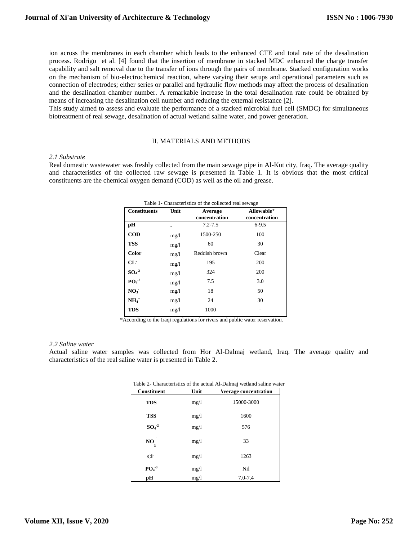ion across the membranes in each chamber which leads to the enhanced CTE and total rate of the desalination process. Rodrigo et al. [4] found that the insertion of membrane in stacked MDC enhanced the charge transfer capability and salt removal due to the transfer of ions through the pairs of membrane. Stacked configuration works on the mechanism of bio-electrochemical reaction, where varying their setups and operational parameters such as connection of electrodes; either series or parallel and hydraulic flow methods may affect the process of desalination and the desalination chamber number. A remarkable increase in the total desalination rate could be obtained by means of increasing the desalination cell number and reducing the external resistance [2].

This study aimed to assess and evaluate the performance of a stacked microbial fuel cell (SMDC) for simultaneous biotreatment of real sewage, desalination of actual wetland saline water, and power generation.

#### II. MATERIALS AND METHODS

#### *2.1 Substrate*

Real domestic wastewater was freshly collected from the main sewage pipe in Al-Kut city, Iraq. The average quality and characteristics of the collected raw sewage is presented in Table 1. It is obvious that the most critical constituents are the chemical oxygen demand (COD) as well as the oil and grease.

| Table 1- Characteristics of the collected real sewage |      |                       |               |  |  |
|-------------------------------------------------------|------|-----------------------|---------------|--|--|
| <b>Constituents</b>                                   | Unit | Allowable*<br>Average |               |  |  |
|                                                       |      | concentration         | concentration |  |  |
| рH                                                    |      | $7.2 - 7.5$           | $6 - 9.5$     |  |  |
| $\mathbf{COD}$                                        | mg/1 | 1500-250              | 100           |  |  |
| <b>TSS</b>                                            | mg/1 | 60                    | 30            |  |  |
| Color                                                 | mg/1 | Reddish brown         | Clear         |  |  |
| $CL^-$                                                | mg/1 | 195                   | 200           |  |  |
| $SO4-2$                                               | mg/1 | 324                   | 200           |  |  |
| $PO4-2$                                               | mg/1 | 7.5                   | 3.0           |  |  |
| NO <sub>3</sub>                                       | mg/1 | 18                    | 50            |  |  |
| $NH4+$                                                | mg/1 | 24                    | 30            |  |  |
| <b>TDS</b>                                            | mg/1 | 1000                  |               |  |  |

\*According to the Iraqi regulations for rivers and public water reservation.

#### *2.2 Saline water*

Actual saline water samples was collected from Hor Al-Dalmaj wetland, Iraq. The average quality and characteristics of the real saline water is presented in Table 2.

| <b>Constituent</b> | Unit | <b>Average concentration</b> |
|--------------------|------|------------------------------|
| <b>TDS</b>         | mg/l | 15000-3000                   |
| <b>TSS</b>         | mg/l | 1600                         |
| $SO4-2$            | mg/1 | 576                          |
| NO                 | mg/l | 33                           |
| $Cl^{\cdot}$       | mg/l | 1263                         |
| $PO4-3$            | mg/l | Nil                          |
| pH                 | mg/l | $7.0 - 7.4$                  |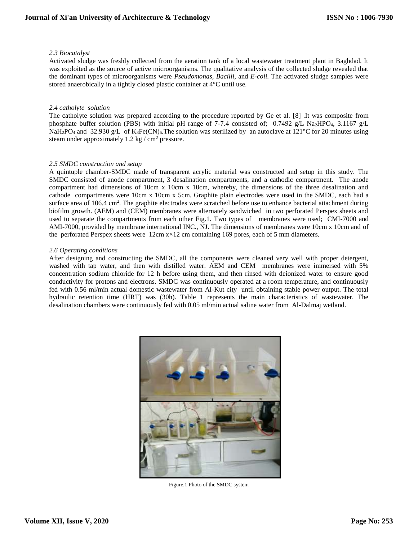## *2.3 Biocatalyst*

Activated sludge was freshly collected from the aeration tank of a local wastewater treatment plant in Baghdad. It was exploited as the source of active microorganisms. The qualitative analysis of the collected sludge revealed that the dominant types of microorganisms were *Pseudomonas*, *Bacilli*, and *E-coli*. The activated sludge samples were stored anaerobically in a tightly closed plastic container at 4°C until use.

## *2.4 catholyte solution*

The catholyte solution was prepared according to the procedure reported by Ge et al. [8] .It was composite from phosphate buffer solution (PBS) with initial pH range of 7-7.4 consisted of; 0.7492 g/L Na2HPO4, 3.1167 g/L NaH<sub>2</sub>PO<sub>4</sub> and 32.930 g/L of K<sub>3</sub>Fe(CN)<sub>6</sub>. The solution was sterilized by an autoclave at 121°C for 20 minutes using steam under approximately  $1.2 \text{ kg} / \text{ cm}^2$  pressure.

## *2.5 SMDC construction and setup*

A quintuple chamber-SMDC made of transparent acrylic material was constructed and setup in this study. The SMDC consisted of anode compartment, 3 desalination compartments, and a cathodic compartment. The anode compartment had dimensions of 10cm x 10cm x 10cm, whereby, the dimensions of the three desalination and cathode compartments were 10cm x 10cm x 5cm. Graphite plain electrodes were used in the SMDC, each had a surface area of  $106.4 \text{ cm}^2$ . The graphite electrodes were scratched before use to enhance bacterial attachment during biofilm growth. (AEM) and (CEM) membranes were alternately sandwiched in two perforated Perspex sheets and used to separate the compartments from each other Fig.1. Two types of membranes were used; CMI-7000 and AMI-7000, provided by membrane international INC., NJ. The dimensions of membranes were 10cm x 10cm and of the perforated Perspex sheets were 12cm x×12 cm containing 169 pores, each of 5 mm diameters.

## *2.6 Operating conditions*

After designing and constructing the SMDC, all the components were cleaned very well with proper detergent, washed with tap water, and then with distilled water. AEM and CEM membranes were immersed with 5% concentration sodium chloride for 12 h before using them, and then rinsed with deionized water to ensure good conductivity for protons and electrons. SMDC was continuously operated at a room temperature, and continuously fed with 0.56 ml/min actual domestic wastewater from Al-Kut city until obtaining stable power output. The total hydraulic retention time (HRT) was (30h). Table 1 represents the main characteristics of wastewater. The desalination chambers were continuously fed with 0.05 ml/min actual saline water from Al-Dalmaj wetland.



Figure.1 Photo of the SMDC system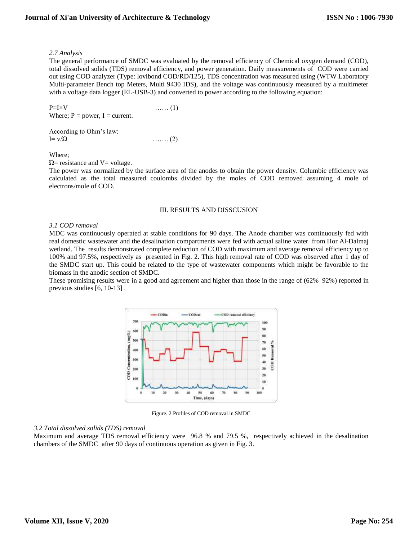## *2.7 Analysis*

The general performance of SMDC was evaluated by the removal efficiency of Chemical oxygen demand (COD), total dissolved solids (TDS) removal efficiency, and power generation. Daily measurements of COD were carried out using COD analyzer (Type: lovibond COD/RD/125), TDS concentration was measured using (WTW Laboratory Multi-parameter Bench top Meters, Multi 9430 IDS), and the voltage was continuously measured by a multimeter with a voltage data logger (EL-USB-3) and converted to power according to the following equation:

 $P=I\times V$  …… (1) Where;  $P = power$ ,  $I = current$ .

| According to Ohm's law: |              |
|-------------------------|--------------|
| $I = \frac{V}{\Omega}$  | $\ldots$ (2) |

Where;

 $Ω$  = resistance and  $V$  = voltage.

The power was normalized by the surface area of the anodes to obtain the power density. Columbic efficiency was calculated as the total measured coulombs divided by the moles of COD removed assuming 4 mole of electrons/mole of COD.

## III. RESULTS AND DISSCUSION

## *3.1 COD removal*

MDC was continuously operated at stable conditions for 90 days. The Anode chamber was continuously fed with real domestic wastewater and the desalination compartments were fed with actual saline water from Hor Al-Dalmaj wetland. The results demonstrated complete reduction of COD with maximum and average removal efficiency up to 100% and 97.5%, respectively as presented in Fig. 2. This high removal rate of COD was observed after 1 day of the SMDC start up. This could be related to the type of wastewater components which might be favorable to the biomass in the anodic section of SMDC.

These promising results were in a good and agreement and higher than those in the range of (62%–92%) reported in previous studies [6, 10-13] .



Figure. 2 Profiles of COD removal in SMDC

#### *3.2 Total dissolved solids (TDS) removal*

Maximum and average TDS removal efficiency were 96.8 % and 79.5 %, respectively achieved in the desalination chambers of the SMDC after 90 days of continuous operation as given in Fig. 3.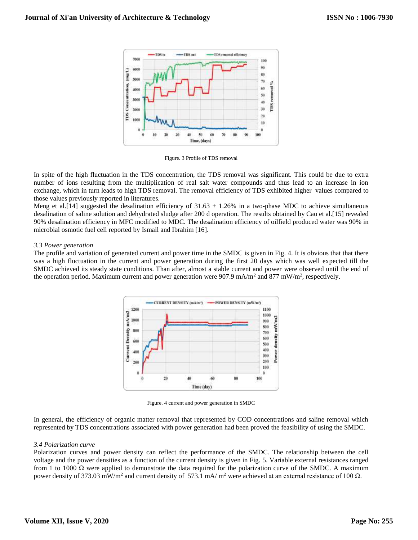

Figure. 3 Profile of TDS removal

In spite of the high fluctuation in the TDS concentration, the TDS removal was significant. This could be due to extra number of ions resulting from the multiplication of real salt water compounds and thus lead to an increase in ion exchange, which in turn leads to high TDS removal. The removal efficiency of TDS exhibited higher values compared to those values previously reported in literatures.

Meng et al.[14] suggested the desalination efficiency of  $31.63 \pm 1.26\%$  in a two-phase MDC to achieve simultaneous desalination of saline solution and dehydrated sludge after 200 d operation. The results obtained by Cao et al.[15] revealed 90% desalination efficiency in MFC modified to MDC. The desalination efficiency of oilfield produced water was 90% in microbial osmotic fuel cell reported by Ismail and Ibrahim [16].

## *3.3 Power generation*

The profile and variation of generated current and power time in the SMDC is given in Fig. 4. It is obvious that that there was a high fluctuation in the current and power generation during the first 20 days which was well expected till the SMDC achieved its steady state conditions. Than after, almost a stable current and power were observed until the end of the operation period. Maximum current and power generation were  $907.9 \text{ mA/m}^2$  and  $877 \text{ mW/m}^2$ , respectively.



Figure. 4 current and power generation in SMDC

In general, the efficiency of organic matter removal that represented by COD concentrations and saline removal which represented by TDS concentrations associated with power generation had been proved the feasibility of using the SMDC.

#### *3.4 Polarization curve*

Polarization curves and power density can reflect the performance of the SMDC. The relationship between the cell voltage and the power densities as a function of the current density is given in Fig. 5. Variable external resistances ranged from 1 to 1000  $\Omega$  were applied to demonstrate the data required for the polarization curve of the SMDC. A maximum power density of 373.03 mW/m<sup>2</sup> and current density of 573.1 mA/ m<sup>2</sup> were achieved at an external resistance of 100  $\Omega$ .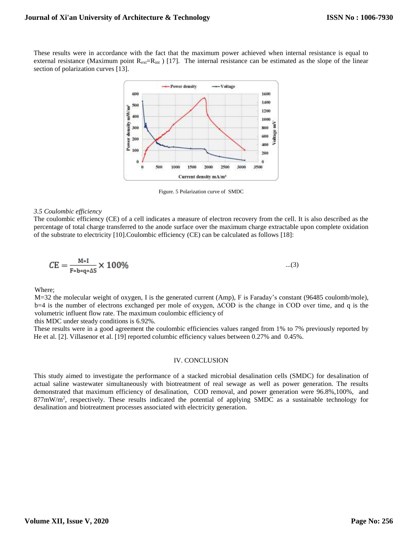These results were in accordance with the fact that the maximum power achieved when internal resistance is equal to external resistance (Maximum point  $R_{ext}=R_{int}$ ) [17]. The internal resistance can be estimated as the slope of the linear section of polarization curves [13].



Figure. 5 Polarization curve of SMDC

#### *3.5 Coulombic efficiency*

The coulombic efficiency (CE) of a cell indicates a measure of electron recovery from the cell. It is also described as the percentage of total charge transferred to the anode surface over the maximum charge extractable upon complete oxidation of the substrate to electricity [10].Coulombic efficiency (CE) can be calculated as follows [18]:

$$
CE = \frac{M*I}{F*b*q* \Delta S} \times 100\%
$$
...(3)

Where;

M=32 the molecular weight of oxygen, I is the generated current (Amp), F is Faraday's constant (96485 coulomb/mole), b=4 is the number of electrons exchanged per mole of oxygen, ∆COD is the change in COD over time, and q is the volumetric influent flow rate. The maximum coulombic efficiency of

this MDC under steady conditions is 6.92%.

These results were in a good agreement the coulombic efficiencies values ranged from 1% to 7% previously reported by He et al. [2]. Villasenor et al. [19] reported columbic efficiency values between 0.27% and 0.45%.

## IV. CONCLUSION

This study aimed to investigate the performance of a stacked microbial desalination cells (SMDC) for desalination of actual saline wastewater simultaneously with biotreatment of real sewage as well as power generation. The results demonstrated that maximum efficiency of desalination, COD removal, and power generation were 96.8%,100%, and 877mW/m<sup>2</sup>, respectively. These results indicated the potential of applying SMDC as a sustainable technology for desalination and biotreatment processes associated with electricity generation.